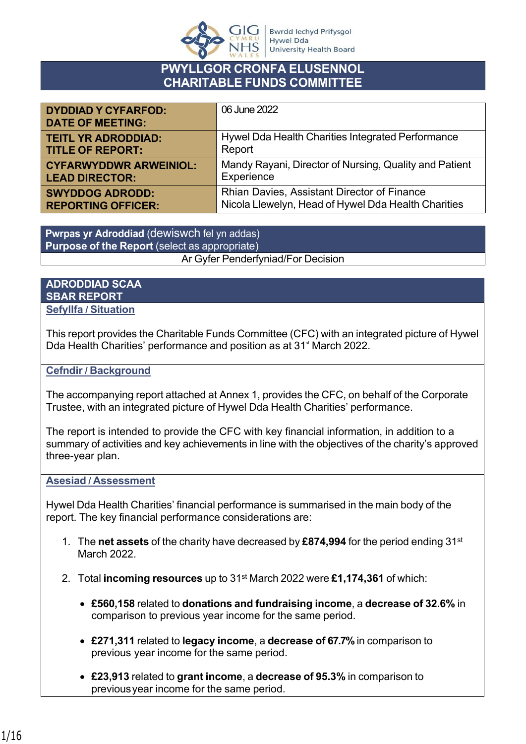

#### **PWYLLGOR CRONFA ELUSENNOL CHARITABLE FUNDS COMMITTEE**

| <b>DYDDIAD Y CYFARFOD:</b><br><b>DATE OF MEETING:</b> | 06 June 2022                                           |
|-------------------------------------------------------|--------------------------------------------------------|
| <b>TEITL YR ADRODDIAD:</b>                            | Hywel Dda Health Charities Integrated Performance      |
| <b>TITLE OF REPORT:</b>                               | Report                                                 |
| <b>CYFARWYDDWR ARWEINIOL:</b>                         | Mandy Rayani, Director of Nursing, Quality and Patient |
| <b>LEAD DIRECTOR:</b>                                 | Experience                                             |
| <b>SWYDDOG ADRODD:</b>                                | Rhian Davies, Assistant Director of Finance            |
| <b>REPORTING OFFICER:</b>                             | Nicola Llewelyn, Head of Hywel Dda Health Charities    |

Ar Gyfer Penderfyniad/For Decision **Pwrpas yr Adroddiad** (dewiswch fel yn addas) **Purpose of the Report** (select as appropriate)

#### **ADRODDIAD SCAA SBAR REPORT Sefyllfa / Situation**

This report provides the Charitable Funds Committee (CFC) with an integrated picture of Hywel Dda Health Charities' performance and position as at 31<sup>st</sup> March 2022.

#### **Cefndir / Background**

The accompanying report attached at Annex 1, provides the CFC, on behalf of the Corporate Trustee, with an integrated picture of Hywel Dda Health Charities' performance.

The report is intended to provide the CFC with key financial information, in addition to a summary of activities and key achievements in line with the objectives of the charity's approved three-year plan.

#### **Asesiad / Assessment**

Hywel Dda Health Charities' financial performance is summarised in the main body of the report. The key financial performance considerations are:

- 1. The **net assets** of the charity have decreased by **£874,994** for the period ending 31st March 2022.
- 2. Total **incoming resources** up to 31st March 2022 were **£1,174,361** of which:
	- **£560,158** related to **donations and fundraising income**, a **decrease of 32.6%** in comparison to previous year income for the same period.
	- **£271,311** related to **legacy income**, a **decrease of 67.7%** in comparison to previous year income for the same period.
	- **£23,913** related to **grant income**, a **decrease of 95.3%** in comparison to previous year income for the same period.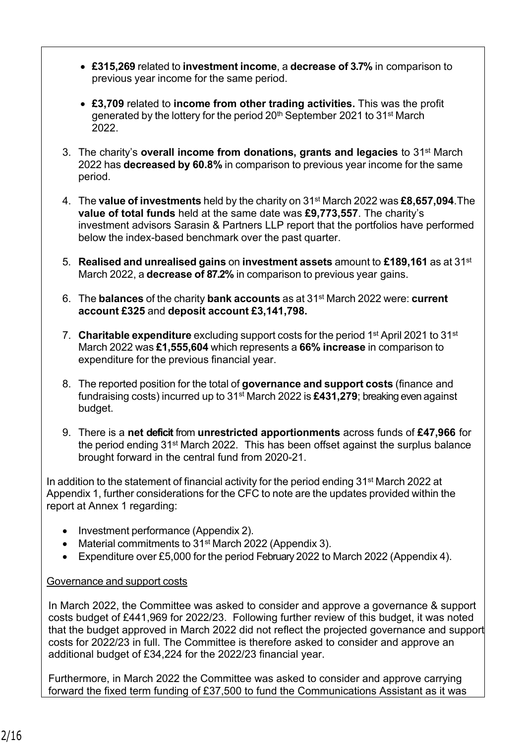- **£315,269** related to **investment income**, a **decrease of 3.7%** in comparison to previous year income for the same period.
- **£3,709** related to **income from other trading activities.** This was the profit generated by the lottery for the period 20<sup>th</sup> September 2021 to 31<sup>st</sup> March 2022.
- 3. The charity's **overall income from donations, grants and legacies** to 31st March 2022 has **decreased by 60.8%** in comparison to previous year income for the same period.
- 4. The **value of investments** held by the charity on 31st March 2022 was **£8,657,094**. The **value of total funds** held at the same date was **£9,773,557**. The charity's investment advisors Sarasin & Partners LLP report that the portfolios have performed below the index-based benchmark over the past quarter.
- 5. **Realised and unrealised gains** on **investment assets** amount to **£189,161** as at 31st March 2022, a **decrease of 87.2%** in comparison to previous year gains.
- 6. The **balances** of the charity **bank accounts** as at 31st March 2022 were: **current account £325** and **deposit account £3,141,798.**
- 7. **Charitable expenditure** excluding support costs for the period 1st April 2021 to 31st March 2022 was **£1,555,604** which represents a **66% increase** in comparison to expenditure for the previous financial year.
- 8. The reported position for the total of **governance and support costs** (finance and fundraising costs) incurred up to 31st March 2022 is **£431,279**; breaking even against budget.
- 9. There is a **net deficit** from **unrestricted apportionments** across funds of **£47,966** for the period ending 31st March 2022. This has been offset against the surplus balance brought forward in the central fund from 2020-21.

In addition to the statement of financial activity for the period ending  $31<sup>st</sup>$  March 2022 at Appendix 1, further considerations for the CFC to note are the updates provided within the report at Annex 1 regarding:

- Investment performance (Appendix 2).
- Material commitments to 31<sup>st</sup> March 2022 (Appendix 3).
- Expenditure over £5,000 for the period February 2022 to March 2022 (Appendix 4).

#### Governance and support costs

In March 2022, the Committee was asked to consider and approve a governance & support costs budget of £441,969 for 2022/23. Following further review of this budget, it was noted that the budget approved in March 2022 did not reflect the projected governance and support costs for 2022/23 in full. The Committee is therefore asked to consider and approve an additional budget of £34,224 for the 2022/23 financial year.

Furthermore, in March 2022 the Committee was asked to consider and approve carrying forward the fixed term funding of £37,500 to fund the Communications Assistant as it was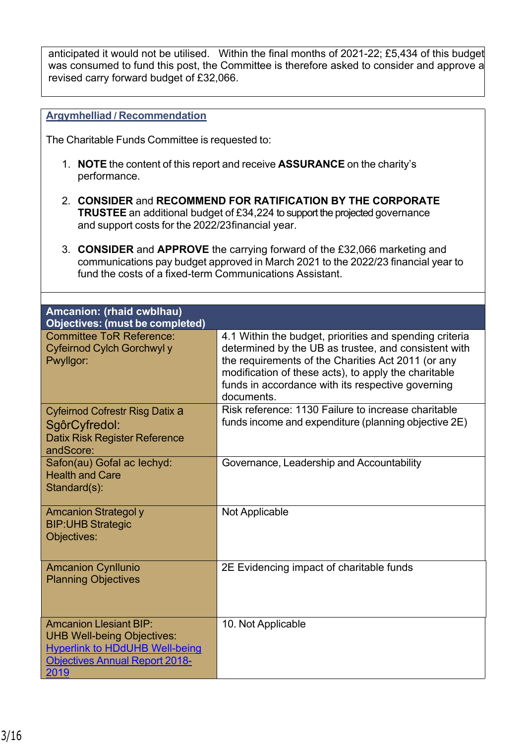anticipated it would not be utilised. Within the final months of 2021-22; £5,434 of this budget was consumed to fund this post, the Committee is therefore asked to consider and approve a revised carry forward budget of £32,066.

#### **Argymhelliad / Recommendation**

The Charitable Funds Committee is requested to:

- 1. **NOTE** the content of this report and receive **ASSURANCE** on the charity's performance.
- 2. **CONSIDER** and **RECOMMEND FOR RATIFICATION BY THE CORPORATE TRUSTEE** an additional budget of £34,224 to support the projected governance and support costs for the 2022/23 financial year.
- 3. **CONSIDER** and **APPROVE** the carrying forward of the £32,066 marketing and communications pay budget approved in March 2021 to the 2022/23 financial year to fund the costs of a fixed-term Communications Assistant.

| Amcanion: (rhaid cwblhau)<br><b>Objectives: (must be completed)</b>                                                                                          |                                                                                                                                                                                                                                                                                                  |
|--------------------------------------------------------------------------------------------------------------------------------------------------------------|--------------------------------------------------------------------------------------------------------------------------------------------------------------------------------------------------------------------------------------------------------------------------------------------------|
| <b>Committee ToR Reference:</b><br>Cyfeirnod Cylch Gorchwyl y<br>Pwyllgor:                                                                                   | 4.1 Within the budget, priorities and spending criteria<br>determined by the UB as trustee, and consistent with<br>the requirements of the Charities Act 2011 (or any<br>modification of these acts), to apply the charitable<br>funds in accordance with its respective governing<br>documents. |
| Cyfeirnod Cofrestr Risg Datix a<br>SgôrCyfredol:<br><b>Datix Risk Register Reference</b><br>andScore:                                                        | Risk reference: 1130 Failure to increase charitable<br>funds income and expenditure (planning objective 2E)                                                                                                                                                                                      |
| Safon(au) Gofal ac lechyd:<br><b>Health and Care</b><br>Standard(s):                                                                                         | Governance, Leadership and Accountability                                                                                                                                                                                                                                                        |
| <b>Amcanion Strategoly</b><br><b>BIP: UHB Strategic</b><br>Objectives:                                                                                       | Not Applicable                                                                                                                                                                                                                                                                                   |
| <b>Amcanion Cynllunio</b><br><b>Planning Objectives</b>                                                                                                      | 2E Evidencing impact of charitable funds                                                                                                                                                                                                                                                         |
| <b>Amcanion Llesiant BIP:</b><br><b>UHB Well-being Objectives:</b><br><b>Hyperlink to HDdUHB Well-being</b><br><b>Objectives Annual Report 2018-</b><br>2019 | 10. Not Applicable                                                                                                                                                                                                                                                                               |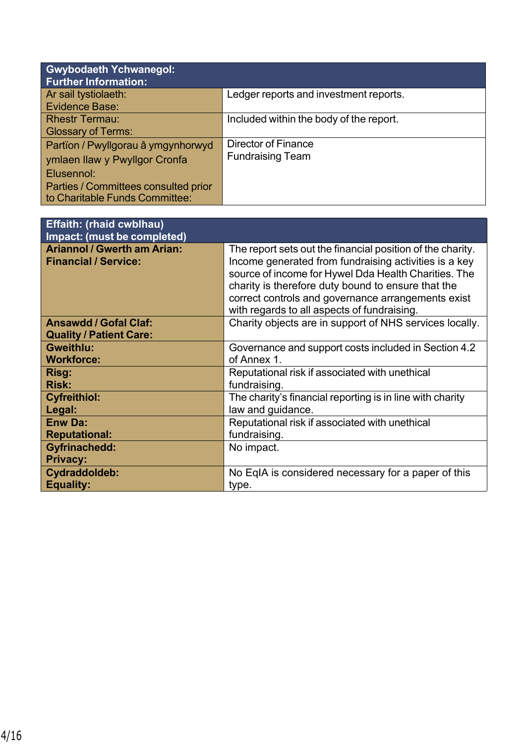| <b>Gwybodaeth Ychwanegol:</b><br><b>Further Information:</b> |                                         |
|--------------------------------------------------------------|-----------------------------------------|
| Ar sail tystiolaeth:                                         | Ledger reports and investment reports.  |
| Evidence Base:                                               |                                         |
| <b>Rhestr Termau:</b>                                        | Included within the body of the report. |
| <b>Glossary of Terms:</b>                                    |                                         |
| Partïon / Pwyllgorau â ymgynhorwyd                           | <b>Director of Finance</b>              |
| ymlaen llaw y Pwyllgor Cronfa                                | <b>Fundraising Team</b>                 |
| Elusennol:                                                   |                                         |
| Parties / Committees consulted prior                         |                                         |
| to Charitable Funds Committee:                               |                                         |

| <b>Effaith: (rhaid cwblhau)</b><br>Impact: (must be completed)    |                                                                                                                                                                                                                                                                                                                                        |
|-------------------------------------------------------------------|----------------------------------------------------------------------------------------------------------------------------------------------------------------------------------------------------------------------------------------------------------------------------------------------------------------------------------------|
| <b>Ariannol / Gwerth am Arian:</b><br><b>Financial / Service:</b> | The report sets out the financial position of the charity.<br>Income generated from fundraising activities is a key<br>source of income for Hywel Dda Health Charities. The<br>charity is therefore duty bound to ensure that the<br>correct controls and governance arrangements exist<br>with regards to all aspects of fundraising. |
| <b>Ansawdd / Gofal Claf:</b><br><b>Quality / Patient Care:</b>    | Charity objects are in support of NHS services locally.                                                                                                                                                                                                                                                                                |
| <b>Gweithlu:</b>                                                  | Governance and support costs included in Section 4.2                                                                                                                                                                                                                                                                                   |
| <b>Workforce:</b>                                                 | of Annex 1.                                                                                                                                                                                                                                                                                                                            |
| Risg:                                                             | Reputational risk if associated with unethical                                                                                                                                                                                                                                                                                         |
| <b>Risk:</b>                                                      | fundraising.                                                                                                                                                                                                                                                                                                                           |
| <b>Cyfreithiol:</b>                                               | The charity's financial reporting is in line with charity                                                                                                                                                                                                                                                                              |
| Legal:                                                            | law and guidance.                                                                                                                                                                                                                                                                                                                      |
| <b>Enw Da:</b>                                                    | Reputational risk if associated with unethical                                                                                                                                                                                                                                                                                         |
| <b>Reputational:</b>                                              | fundraising.                                                                                                                                                                                                                                                                                                                           |
| <b>Gyfrinachedd:</b><br><b>Privacy:</b>                           | No impact.                                                                                                                                                                                                                                                                                                                             |
| Cydraddoldeb:                                                     | No EqIA is considered necessary for a paper of this                                                                                                                                                                                                                                                                                    |
| Equality:                                                         | type.                                                                                                                                                                                                                                                                                                                                  |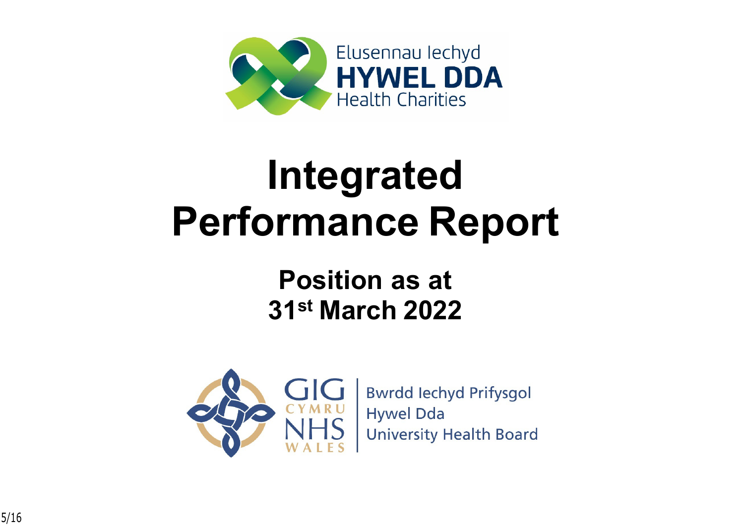

# **Integrated Performance Report**

## **Position as at 31st March 2022**



**Bwrdd lechyd Prifysgol Hywel Dda University Health Board**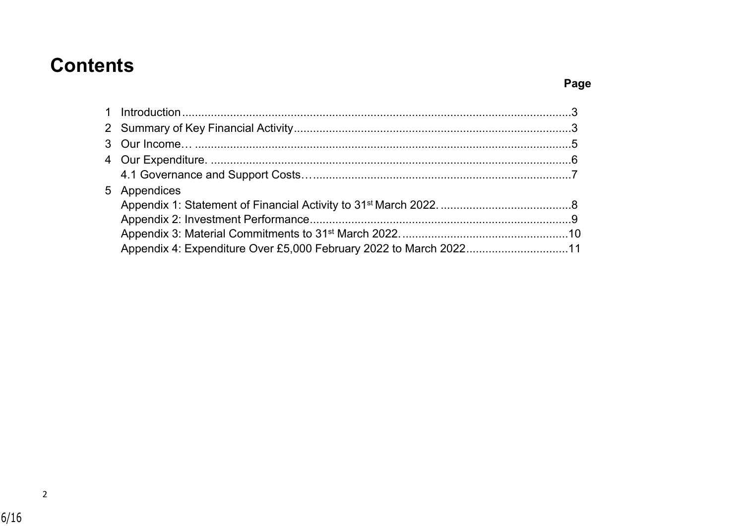### **Contents**

| 5 Appendices                                                      |  |
|-------------------------------------------------------------------|--|
|                                                                   |  |
|                                                                   |  |
|                                                                   |  |
| Appendix 4: Expenditure Over £5,000 February 2022 to March 202211 |  |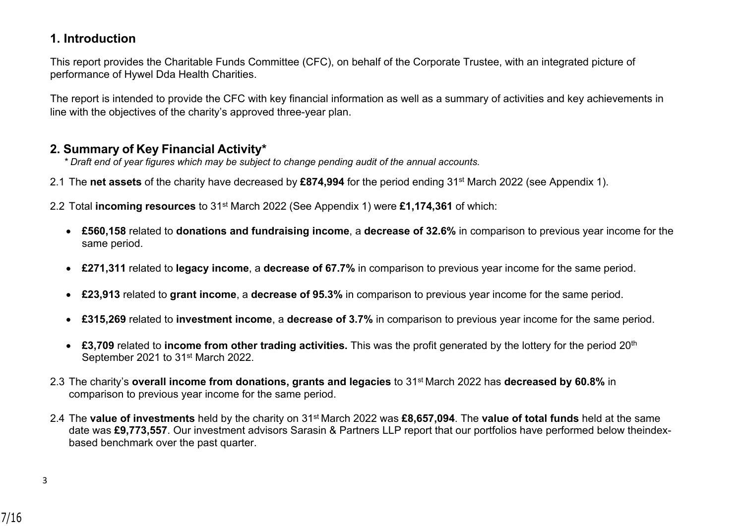#### <span id="page-6-0"></span>**1. Introduction**

This report provides the Charitable Funds Committee (CFC), on behalf of the Corporate Trustee, with an integrated picture of performance of Hywel Dda Health Charities.

The report is intended to provide the CFC with key financial information as well as a summary of activities and key achievements in line with the objectives of the charity's approved three-year plan.

#### <span id="page-6-1"></span>**2. Summary of Key Financial Activity\***

*\* Draft end of year figures which may be subject to change pending audit of the annual accounts.*

2.1 The **net assets** of the charity have decreased by **£874,994** for the period ending 31st March 2022 (see Appendix 1).

2.2 Total **incoming resources** to 31st March 2022 (See Appendix 1) were **£1,174,361** of which:

- **£560,158** related to **donations and fundraising income**, a **decrease of 32.6%** in comparison to previous year income for the same period.
- **£271,311** related to **legacy income**, a **decrease of 67.7%** in comparison to previous year income for the same period.
- **£23,913** related to **grant income**, a **decrease of 95.3%** in comparison to previous year income for the same period.
- **£315,269** related to **investment income**, a **decrease of 3.7%** in comparison to previous year income for the same period.
- **£3,709** related to **income from other trading activities.** This was the profit generated by the lottery for the period 20th September 2021 to 31<sup>st</sup> March 2022.
- 2.3 The charity's **overall income from donations, grants and legacies** to 31st March 2022 has **decreased by 60.8%** in comparison to previous year income for the same period.
- 2.4 The **value of investments** held by the charity on 31st March 2022 was **£8,657,094**. The **value of total funds** held at the same date was £9,773,557. Our investment advisors Sarasin & Partners LLP report that our portfolios have performed below the indexbased benchmark over the past quarter.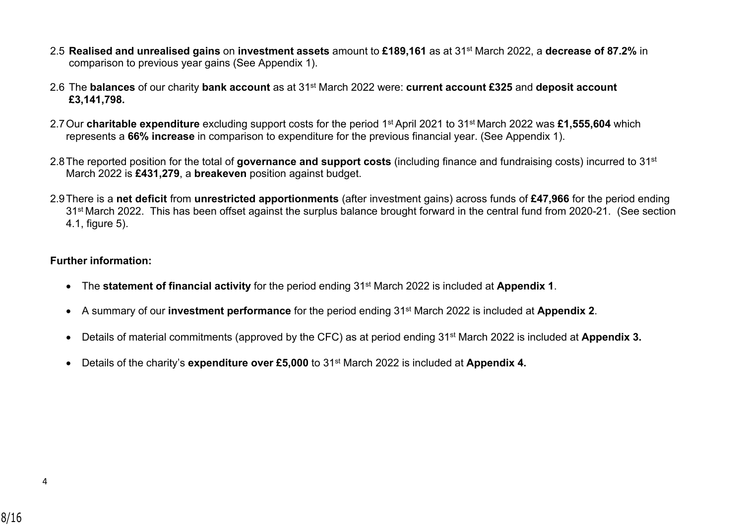- 2.5 **Realised and unrealised gains** on **investment assets** amount to **£189,161** as at 31st March 2022, a **decrease of 87.2%** in comparison to previous year gains (See Appendix 1).
- 2.6 The **balances** of our charity **bank account** as at 31st March 2022 were: **current account £325** and **deposit account £3,141,798.**
- 2.7Our **charitable expenditure** excluding support costs for the period 1st April 2021 to 31st March 2022 was **£1,555,604** which represents a **66% increase** in comparison to expenditure for the previous financial year. (See Appendix 1).
- 2.8The reported position for the total of **governance and support costs** (including finance and fundraising costs) incurred to 31st March 2022 is **£431,279**, a **breakeven** position against budget.
- 2.9There is a **net deficit** from **unrestricted apportionments** (after investment gains) across funds of **£47,966** for the period ending 31st March 2022. This has been offset against the surplus balance brought forward in the central fund from 2020-21. (See section 4.1, figure 5).

#### **Further information:**

- The **statement of financial activity** for the period ending 31st March 2022 is included at **Appendix 1**.
- A summary of our **investment performance** for the period ending 31st March 2022 is included at **Appendix 2**.
- Details of material commitments (approved by the CFC) as at period ending 31<sup>st</sup> March 2022 is included at **Appendix 3.**
- Details of the charity's **expenditure over £5,000** to 31<sup>st</sup> March 2022 is included at **Appendix 4.**

4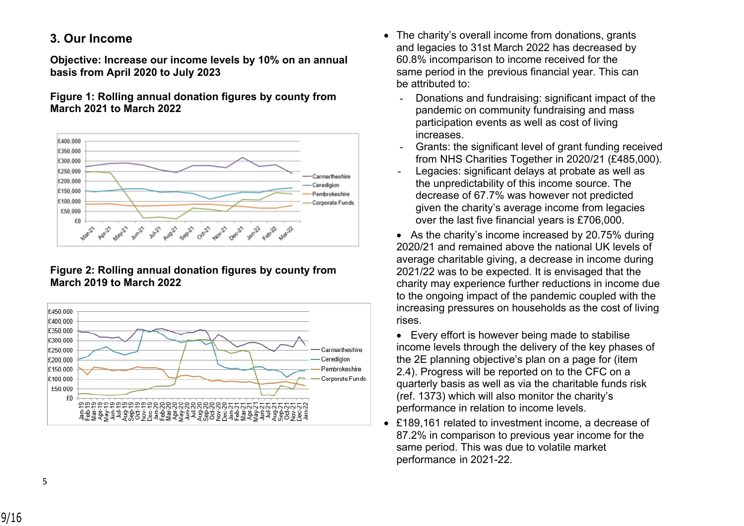#### <span id="page-8-0"></span>**3. Our Income**

**Objective: Increase our income levels by 10% on an annual basis from April 2020 to July 2023**

**Figure 1: Rolling annual donation figures by county from March 2021 to March 2022**



#### **Figure 2: Rolling annual donation figures by county from March 2019 to March 2022**



- The charity's overall income from donations, grants and legacies to 31st March 2022 has decreased by 60.8% in comparison to income received for the same period in the previous financial year. This can be attributed to:
	- Donations and fundraising: significant impact of the pandemic on community fundraising and mass participation events as well as cost of living increases.
	- Grants: the significant level of grant funding received from NHS Charities Together in 2020/21 (£485,000).
	- Legacies: significant delays at probate as well as the unpredictability of this income source. The decrease of 67.7% was however not predicted given the charity's average income from legacies over the last five financial years is £706,000.
	- As the charity's income increased by 20.75% during 2020/21 and remained above the national UK levels of average charitable giving, a decrease in income during 2021/22 was to be expected. It is envisaged that the charity may experience further reductions in income due to the ongoing impact of the pandemic coupled with the increasing pressures on households as the cost of living rises.
	- Every effort is however being made to stabilise income levels through the delivery of the key phases of the 2E planning objective's plan on a page for (item 2.4). Progress will be reported on to the CFC on a quarterly basis as well as via the charitable funds risk (ref. 1373) which will also monitor the charity's performance in relation to income levels.
- £189,161 related to investment income, a decrease of 87.2% in comparison to previous year income for the same period. This was due to volatile market performance in 2021-22.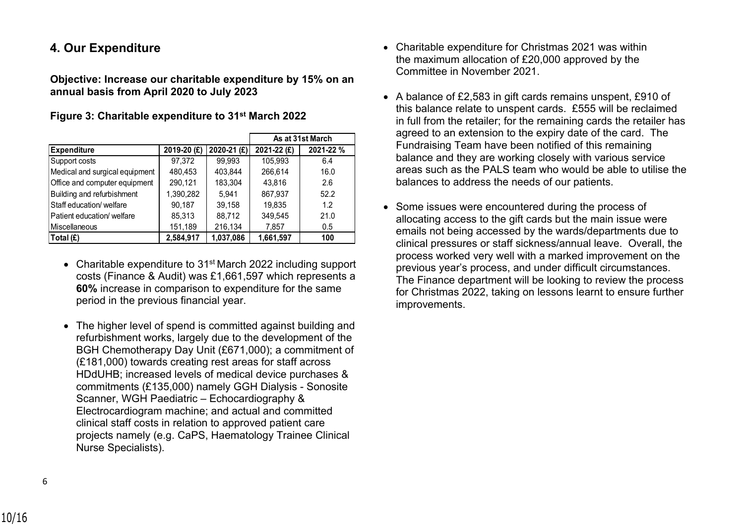#### **4. Our Expenditure**

**Objective: Increase our charitable expenditure by 15% on an annual basis from April 2020 to July 2023**

|                                |             |             |             | As at 31st March |
|--------------------------------|-------------|-------------|-------------|------------------|
| <b>Expenditure</b>             | 2019-20 (£) | 2020-21 (£) | 2021-22 (£) | 2021-22%         |
| Support costs                  | 97,372      | 99,993      | 105,993     | 6.4              |
| Medical and surgical equipment | 480.453     | 403,844     | 266,614     | 16.0             |
| Office and computer equipment  | 290,121     | 183,304     | 43.816      | 2.6              |
| Building and refurbishment     | 1,390,282   | 5.941       | 867,937     | 52.2             |
| Staff education/ welfare       | 90.187      | 39,158      | 19.835      | 1.2              |
| Patient education/ welfare     | 85,313      | 88,712      | 349,545     | 21.0             |
| Miscellaneous                  | 151,189     | 216,134     | 7,857       | 0.5              |
| Total (£)                      | 2,584,917   | 1,037,086   | 1,661,597   | 100              |

**Figure 3: Charitable expenditure to 31st March 2022**

- Charitable expenditure to 31<sup>st</sup> March 2022 including support costs (Finance & Audit) was £1,661,597 which represents a **60%** increase in comparison to expenditure for the same period in the previous financial year.
- The higher level of spend is committed against building and refurbishment works, largely due to the development of the BGH Chemotherapy Day Unit (£671,000); a commitment of (£181,000) towards creating rest areas for staff across HDdUHB; increased levels of medical device purchases & commitments (£135,000) namely GGH Dialysis - Sonosite Scanner, WGH Paediatric – Echocardiography & Electrocardiogram machine; and actual and committed clinical staff costs in relation to approved patient care projects namely (e.g. CaPS, Haematology Trainee Clinical Nurse Specialists).
- Charitable expenditure for Christmas 2021 was within the maximum allocation of £20,000 approved by the Committee in November 2021.
- A balance of £2,583 in gift cards remains unspent, £910 of this balance relate to unspent cards. £555 will be reclaimed in full from the retailer; for the remaining cards the retailer has agreed to an extension to the expiry date of the card. The Fundraising Team have been notified of this remaining balance and they are working closely with various service areas such as the PALS team who would be able to utilise the balances to address the needs of our patients.
- Some issues were encountered during the process of allocating access to the gift cards but the main issue were emails not being accessed by the wards/departments due to clinical pressures or staff sickness/annual leave. Overall, the process worked very well with a marked improvement on the previous year's process, and under difficult circumstances. The Finance department will be looking to review the process for Christmas 2022, taking on lessons learnt to ensure further improvements.

6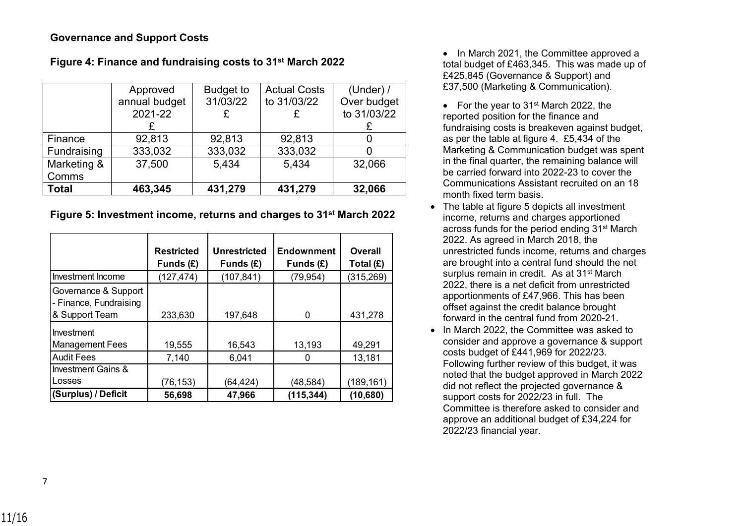#### <span id="page-10-0"></span>**Governance and Support Costs**

|              | Approved      | <b>Budget to</b> | <b>Actual Costs</b> | (Under) $/$ |
|--------------|---------------|------------------|---------------------|-------------|
|              | annual budget | 31/03/22         | to 31/03/22         | Over budget |
|              | 2021-22       |                  |                     | to 31/03/22 |
|              |               |                  |                     |             |
| Finance      | 92,813        | 92,813           | 92,813              |             |
| Fundraising  | 333,032       | 333,032          | 333,032             |             |
| Marketing &  | 37,500        | 5,434            | 5,434               | 32,066      |
| Comms        |               |                  |                     |             |
| <b>Total</b> | 463,345       | 431,279          | 431,279             | 32,066      |

#### **Figure 4: Finance and fundraising costs to 31st March 2022**

#### **Figure 5: Investment income, returns and charges to 31st March 2022**

|                                                                  | <b>Restricted</b><br>Funds $(E)$ | <b>Unrestricted</b><br>Funds $(E)$ | <b>Endownment</b><br>Funds $(E)$ | Overall<br>Total $(E)$ |
|------------------------------------------------------------------|----------------------------------|------------------------------------|----------------------------------|------------------------|
| Investment Income                                                | (127, 474)                       | (107, 841)                         | (79, 954)                        | (315, 269)             |
| Governance & Support<br>- Finance, Fundraising<br>& Support Team | 233,630                          | 197,648                            | 0                                | 431,278                |
| Investment<br><b>Management Fees</b>                             | 19,555                           | 16,543                             | 13,193                           | 49,291                 |
| <b>Audit Fees</b>                                                | 7,140                            | 6,041                              |                                  | 13,181                 |
| <b>Investment Gains &amp;</b>                                    |                                  |                                    |                                  |                        |
| Losses                                                           | (76, 153)                        | (64, 424)                          | (48,584)                         | (189,161)              |
| (Surplus) / Deficit                                              | 56,698                           | 47,966                             | (115, 344)                       | (10,680)               |

• In March 2021, the Committee approved a total budget of £463,345. This was made up of £425,845 (Governance & Support) and £37,500 (Marketing & Communication).

- For the year to 31<sup>st</sup> March 2022, the reported position for the finance and fundraising costs is breakeven against budget, as per the table at figure 4. £5,434 of the Marketing & Communication budget was spent in the final quarter, the remaining balance will be carried forward into 2022-23 to cover the Communications Assistant recruited on an 18 month fixed term basis.
- The table at figure 5 depicts all investment income, returns and charges apportioned across funds for the period ending 31st March 2022. As agreed in March 2018, the unrestricted funds income, returns and charges are brought into a central fund should the net surplus remain in credit. As at 31<sup>st</sup> March 2022, there is a net deficit from unrestricted apportionments of £47,966. This has been offset against the credit balance brought forward in the central fund from 2020-21.
- In March 2022, the Committee was asked to consider and approve a governance & support costs budget of £441,969 for 2022/23. Following further review of this budget, it was noted that the budget approved in March 2022 did not reflect the projected governance & support costs for 2022/23 in full. The Committee is therefore asked to consider and approve an additional budget of £34,224 for 2022/23 financial year.

7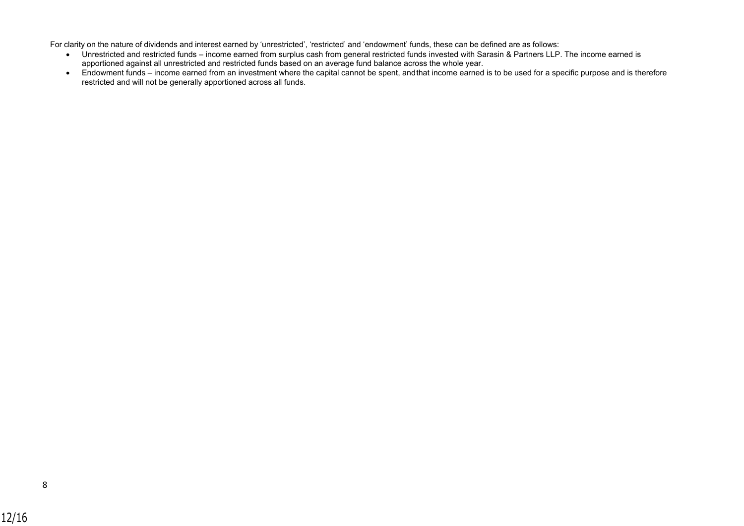For clarity on the nature of dividends and interest earned by 'unrestricted', 'restricted' and 'endowment' funds, these can be defined are as follows:

- Unrestricted and restricted funds income earned from surplus cash from general restricted funds invested with Sarasin & Partners LLP. The income earned is apportioned against all unrestricted and restricted funds based on an average fund balance across the whole year.
- Endowment funds income earned from an investment where the capital cannot be spent, and that income earned is to be used for a specific purpose and is therefore restricted and will not be generally apportioned across all funds.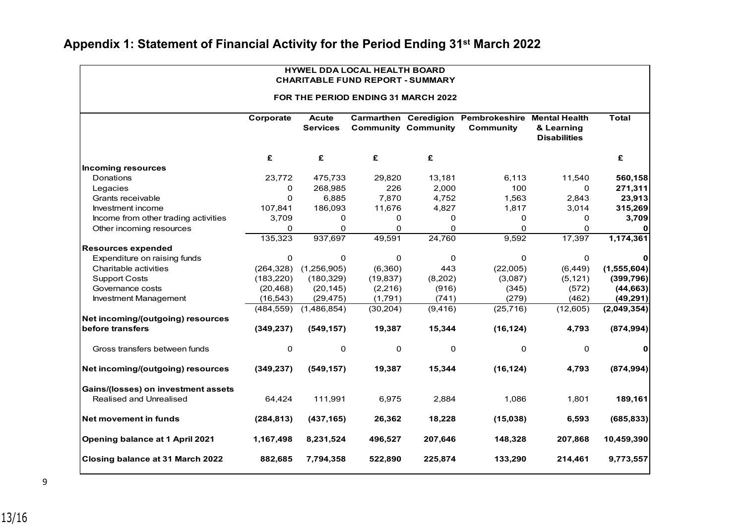| HYWEL DDA LOCAL HEALTH BOARD<br><b>CHARITABLE FUND REPORT - SUMMARY</b><br>FOR THE PERIOD ENDING 31 MARCH 2022 |             |                                 |           |                            |                                                                |                                   |               |
|----------------------------------------------------------------------------------------------------------------|-------------|---------------------------------|-----------|----------------------------|----------------------------------------------------------------|-----------------------------------|---------------|
|                                                                                                                |             |                                 |           |                            |                                                                |                                   |               |
|                                                                                                                | Corporate   | <b>Acute</b><br><b>Services</b> |           | <b>Community Community</b> | Carmarthen Ceredigion Pembrokeshire Mental Health<br>Community | & Learning<br><b>Disabilities</b> | <b>Total</b>  |
|                                                                                                                | £           | £                               | £         | £                          |                                                                |                                   | £             |
| <b>Incoming resources</b>                                                                                      |             |                                 |           |                            |                                                                |                                   |               |
| Donations                                                                                                      | 23,772      | 475,733                         | 29,820    | 13,181                     | 6,113                                                          | 11,540                            | 560,158       |
| Legacies                                                                                                       | 0           | 268,985                         | 226       | 2,000                      | 100                                                            | 0                                 | 271,311       |
| Grants receivable                                                                                              | $\Omega$    | 6,885                           | 7,870     | 4,752                      | 1,563                                                          | 2,843                             | 23,913        |
| Investment income                                                                                              | 107,841     | 186,093                         | 11,676    | 4,827                      | 1,817                                                          | 3,014                             | 315,269       |
| Income from other trading activities                                                                           | 3,709       | 0                               | 0         | 0                          | 0                                                              | 0                                 | 3,709         |
| Other incoming resources                                                                                       | 0           | $\Omega$                        | $\Omega$  | $\Omega$                   | $\Omega$                                                       | 0                                 | 0             |
|                                                                                                                | 135,323     | 937,697                         | 49,591    | 24,760                     | 9,592                                                          | 17,397                            | 1,174,361     |
| <b>Resources expended</b>                                                                                      |             |                                 |           |                            |                                                                |                                   |               |
| Expenditure on raising funds                                                                                   | $\Omega$    | $\Omega$                        | $\Omega$  | $\Omega$                   | $\Omega$                                                       | 0                                 | 0             |
| Charitable activities                                                                                          | (264, 328)  | (1,256,905)                     | (6,360)   | 443                        | (22,005)                                                       | (6, 449)                          | (1, 555, 604) |
| <b>Support Costs</b>                                                                                           | (183, 220)  | (180, 329)                      | (19, 837) | (8,202)                    | (3,087)                                                        | (5, 121)                          | (399, 796)    |
| Governance costs                                                                                               | (20, 468)   | (20, 145)                       | (2, 216)  | (916)                      | (345)                                                          | (572)                             | (44, 663)     |
| Investment Management                                                                                          | (16, 543)   | (29, 475)                       | (1,791)   | (741)                      | (279)                                                          | (462)                             | (49, 291)     |
|                                                                                                                | (484, 559)  | (1,486,854)                     | (30, 204) | (9, 416)                   | (25, 716)                                                      | (12,605)                          | (2,049,354)   |
| Net incoming/(outgoing) resources                                                                              |             |                                 |           |                            |                                                                |                                   |               |
| before transfers                                                                                               | (349, 237)  | (549, 157)                      | 19,387    | 15,344                     | (16, 124)                                                      | 4,793                             | (874, 994)    |
| Gross transfers between funds                                                                                  | $\mathbf 0$ | 0                               | 0         | 0                          | 0                                                              | 0                                 | 0             |
| Net incoming/(outgoing) resources                                                                              | (349, 237)  | (549, 157)                      | 19,387    | 15,344                     | (16, 124)                                                      | 4,793                             | (874, 994)    |
| Gains/(losses) on investment assets                                                                            |             |                                 |           |                            |                                                                |                                   |               |
| Realised and Unrealised                                                                                        | 64,424      | 111,991                         | 6,975     | 2,884                      | 1,086                                                          | 1,801                             | 189,161       |
| Net movement in funds                                                                                          | (284, 813)  | (437, 165)                      | 26,362    | 18,228                     | (15,038)                                                       | 6,593                             | (685, 833)    |
| Opening balance at 1 April 2021                                                                                | 1,167,498   | 8,231,524                       | 496,527   | 207,646                    | 148,328                                                        | 207,868                           | 10,459,390    |
| Closing balance at 31 March 2022                                                                               | 882,685     | 7,794,358                       | 522,890   | 225,874                    | 133,290                                                        | 214,461                           | 9,773,557     |

#### **Appendix 1: Statement of Financial Activity for the Period Ending 31st March 2022**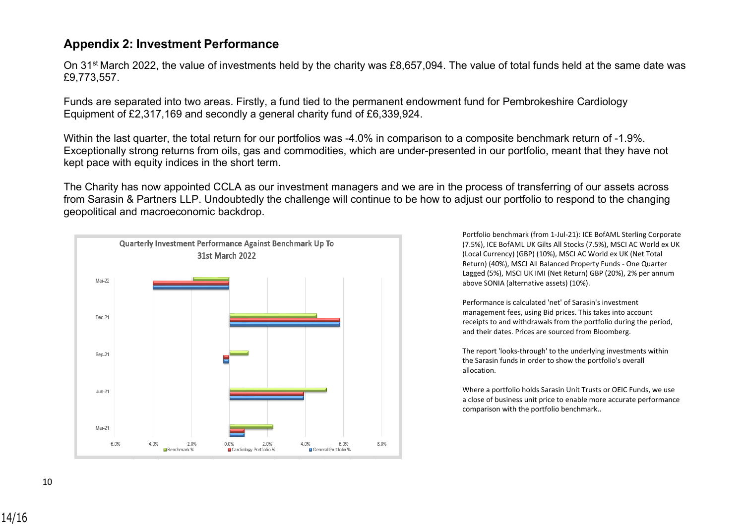#### <span id="page-13-0"></span>**Appendix 2: Investment Performance**

On 31st March 2022, the value of investments held by the charity was £8,657,094. The value of total funds held at the same date was £9,773,557.

Funds are separated into two areas. Firstly, a fund tied to the permanent endowment fund for Pembrokeshire Cardiology Equipment of £2,317,169 and secondly a general charity fund of £6,339,924.

Within the last quarter, the total return for our portfolios was -4.0% in comparison to a composite benchmark return of -1.9%. Exceptionally strong returns from oils, gas and commodities, which are under-presented in our portfolio, meant that they have not kept pace with equity indices in the short term.

The Charity has now appointed CCLA as our investment managers and we are in the process of transferring of our assets across from Sarasin & Partners LLP. Undoubtedly the challenge will continue to be how to adjust our portfolio to respond to the changing geopolitical and macroeconomic backdrop.



Portfolio benchmark (from 1-Jul-21): ICE BofAML Sterling Corporate (7.5%), ICE BofAML UK Gilts All Stocks (7.5%), MSCI AC World ex UK (Local Currency) (GBP) (10%), MSCI AC World ex UK (Net Total Return) (40%), MSCI All Balanced Property Funds - One Quarter Lagged (5%), MSCI UK IMI (Net Return) GBP (20%), 2% per annum above SONIA (alternative assets) (10%).

Performance is calculated 'net' of Sarasin's investment management fees, using Bid prices. This takes into account receipts to and withdrawals from the portfolio during the period, and their dates. Prices are sourced from Bloomberg.

The report 'looks-through' to the underlying investments within the Sarasin funds in order to show the portfolio's overall allocation.

Where a portfolio holds Sarasin Unit Trusts or OEIC Funds, we use a close of business unit price to enable more accurate performance comparison with the portfolio benchmark..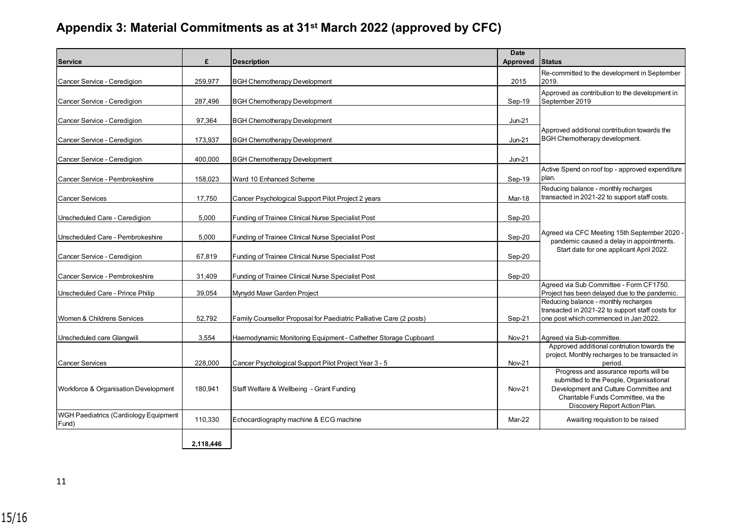#### **Appendix 3: Material Commitments as at 31st March 2022 (approved by CFC)**

| <b>Service</b>                                 | £         | <b>Description</b>                                                  | <b>Date</b><br><b>Approved</b> | <b>Status</b>                                                                                                                                                                                      |
|------------------------------------------------|-----------|---------------------------------------------------------------------|--------------------------------|----------------------------------------------------------------------------------------------------------------------------------------------------------------------------------------------------|
| Cancer Service - Ceredigion                    | 259,977   | <b>BGH Chemotherapy Development</b>                                 | 2015                           | Re-committed to the development in September<br>2019.                                                                                                                                              |
| Cancer Service - Ceredigion                    | 287,496   | <b>BGH Chemotherapy Development</b>                                 | Sep-19                         | Approved as contribution to the development in<br>September 2019                                                                                                                                   |
| Cancer Service - Ceredigion                    | 97.364    | <b>BGH Chemotherapy Development</b>                                 | $Jun-21$                       |                                                                                                                                                                                                    |
| Cancer Service - Ceredigion                    | 173,937   | <b>BGH Chemotherapy Development</b>                                 | $Jun-21$                       | Approved additional contribution towards the<br>BGH Chemotherapy development.                                                                                                                      |
| Cancer Service - Ceredigion                    | 400.000   | <b>BGH Chemotherapy Development</b>                                 | $Jun-21$                       |                                                                                                                                                                                                    |
| Cancer Service - Pembrokeshire                 | 158,023   | Ward 10 Enhanced Scheme                                             | Sep-19                         | Active Spend on roof top - approved expenditure<br>plan.                                                                                                                                           |
| <b>Cancer Services</b>                         | 17.750    | Cancer Psychological Support Pilot Project 2 years                  | Mar-18                         | Reducing balance - monthly recharges<br>transacted in 2021-22 to support staff costs.                                                                                                              |
| Unscheduled Care - Ceredigion                  | 5,000     | Funding of Trainee Clinical Nurse Specialist Post                   | Sep-20                         |                                                                                                                                                                                                    |
| Unscheduled Care - Pembrokeshire               | 5,000     | Funding of Trainee Clinical Nurse Specialist Post                   | Sep-20                         | Agreed via CFC Meeting 15th September 2020<br>pandemic caused a delay in appointments.                                                                                                             |
| Cancer Service - Ceredigion                    | 67,819    | Funding of Trainee Clinical Nurse Specialist Post                   | Sep-20                         | Start date for one applicant April 2022.                                                                                                                                                           |
| Cancer Service - Pembrokeshire                 | 31,409    | Funding of Trainee Clinical Nurse Specialist Post                   | Sep-20                         |                                                                                                                                                                                                    |
| Unscheduled Care - Prince Philip               | 39,054    | Mynydd Mawr Garden Project                                          |                                | Agreed via Sub Committee - Form CF1750.<br>Project has been delayed due to the pandemic.                                                                                                           |
| Women & Childrens Services                     | 52,792    | Family Counsellor Proposal for Paediatric Palliative Care (2 posts) | Sep-21                         | Reducing balance - monthly recharges<br>transacted in 2021-22 to support staff costs for<br>one post which commenced in Jan 2022.                                                                  |
| Unscheduled care Glangwili                     | 3,554     | Haemodynamic Monitoring Equipment - Cathether Storage Cupboard      | Nov-21                         | Agreed via Sub-committee.                                                                                                                                                                          |
| <b>Cancer Services</b>                         | 228,000   | Cancer Psychological Support Pilot Project Year 3 - 5               | <b>Nov-21</b>                  | Approved additional contriution towards the<br>project. Monthly recharges to be transacted in<br>period.                                                                                           |
| Workforce & Organisation Development           | 180,941   | Staff Welfare & Wellbeing - Grant Funding                           | Nov-21                         | Progress and assurance reports will be<br>submitted to the People, Organisational<br>Development and Culture Committee and<br>Charitable Funds Committee, via the<br>Discovery Report Action Plan. |
| WGH Paediatrics (Cardiology Equipment<br>Fund) | 110,330   | Echocardiography machine & ECG machine                              | Mar-22                         | Awaiting requistion to be raised                                                                                                                                                                   |
|                                                | 2.118.446 |                                                                     |                                |                                                                                                                                                                                                    |